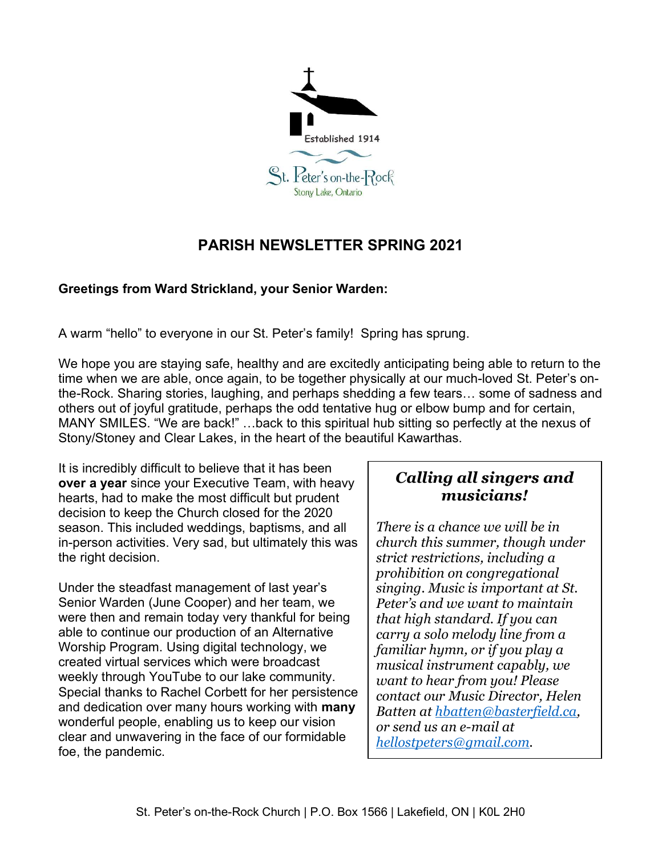

# PARISH NEWSLETTER SPRING 2021

### Greetings from Ward Strickland, your Senior Warden:

A warm "hello" to everyone in our St. Peter's family! Spring has sprung.

We hope you are staying safe, healthy and are excitedly anticipating being able to return to the time when we are able, once again, to be together physically at our much-loved St. Peter's onthe-Rock. Sharing stories, laughing, and perhaps shedding a few tears… some of sadness and others out of joyful gratitude, perhaps the odd tentative hug or elbow bump and for certain, MANY SMILES. "We are back!" …back to this spiritual hub sitting so perfectly at the nexus of Stony/Stoney and Clear Lakes, in the heart of the beautiful Kawarthas.

It is incredibly difficult to believe that it has been over a year since your Executive Team, with heavy hearts, had to make the most difficult but prudent decision to keep the Church closed for the 2020 season. This included weddings, baptisms, and all in-person activities. Very sad, but ultimately this was the right decision.

Under the steadfast management of last year's Senior Warden (June Cooper) and her team, we were then and remain today very thankful for being able to continue our production of an Alternative Worship Program. Using digital technology, we created virtual services which were broadcast weekly through YouTube to our lake community. Special thanks to Rachel Corbett for her persistence and dedication over many hours working with **many** wonderful people, enabling us to keep our vision clear and unwavering in the face of our formidable foe, the pandemic.

## Calling all singers and musicians!

There is a chance we will be in church this summer, though under strict restrictions, including a prohibition on congregational singing. Music is important at St. Peter's and we want to maintain that high standard. If you can carry a solo melody line from a familiar hymn, or if you play a musical instrument capably, we want to hear from you! Please contact our Music Director, Helen Batten at <u>hbatten@basterfield.ca,</u><br>or send us an e-mail at hellostpeters@gmail.com.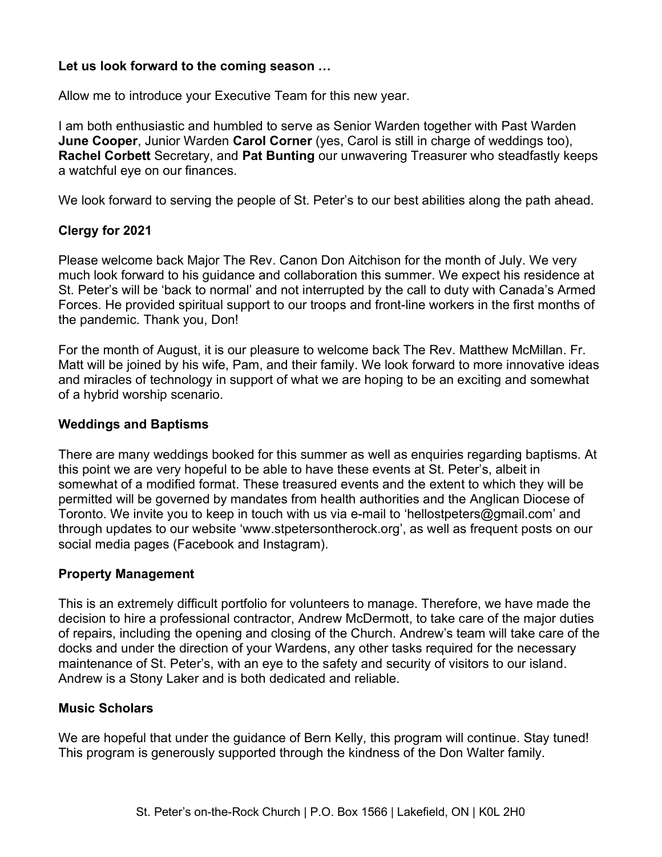#### Let us look forward to the coming season …

Allow me to introduce your Executive Team for this new year.

I am both enthusiastic and humbled to serve as Senior Warden together with Past Warden **June Cooper**, Junior Warden **Carol Corner** (yes, Carol is still in charge of weddings too), Rachel Corbett Secretary, and Pat Bunting our unwavering Treasurer who steadfastly keeps a watchful eye on our finances.

We look forward to serving the people of St. Peter's to our best abilities along the path ahead.

#### Clergy for 2021

Please welcome back Major The Rev. Canon Don Aitchison for the month of July. We very much look forward to his guidance and collaboration this summer. We expect his residence at St. Peter's will be 'back to normal' and not interrupted by the call to duty with Canada's Armed Forces. He provided spiritual support to our troops and front-line workers in the first months of the pandemic. Thank you, Don!

For the month of August, it is our pleasure to welcome back The Rev. Matthew McMillan. Fr. Matt will be joined by his wife, Pam, and their family. We look forward to more innovative ideas and miracles of technology in support of what we are hoping to be an exciting and somewhat of a hybrid worship scenario.

#### Weddings and Baptisms

There are many weddings booked for this summer as well as enquiries regarding baptisms. At this point we are very hopeful to be able to have these events at St. Peter's, albeit in somewhat of a modified format. These treasured events and the extent to which they will be permitted will be governed by mandates from health authorities and the Anglican Diocese of Toronto. We invite you to keep in touch with us via e-mail to 'hellostpeters@gmail.com' and through updates to our website 'www.stpetersontherock.org', as well as frequent posts on our social media pages (Facebook and Instagram).

#### Property Management

This is an extremely difficult portfolio for volunteers to manage. Therefore, we have made the decision to hire a professional contractor, Andrew McDermott, to take care of the major duties of repairs, including the opening and closing of the Church. Andrew's team will take care of the docks and under the direction of your Wardens, any other tasks required for the necessary maintenance of St. Peter's, with an eye to the safety and security of visitors to our island. Andrew is a Stony Laker and is both dedicated and reliable.

#### Music Scholars

We are hopeful that under the guidance of Bern Kelly, this program will continue. Stay tuned! This program is generously supported through the kindness of the Don Walter family.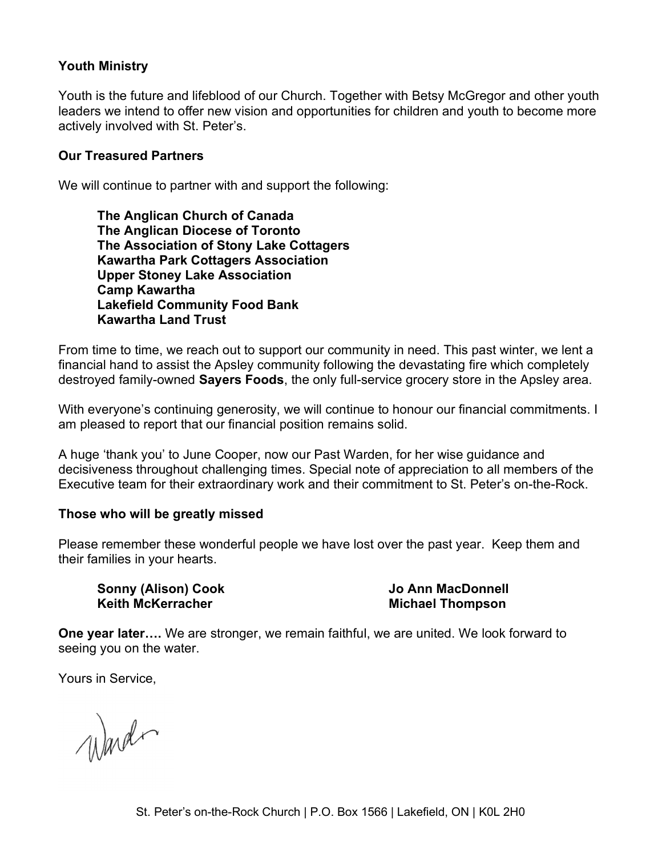#### Youth Ministry

Youth is the future and lifeblood of our Church. Together with Betsy McGregor and other youth leaders we intend to offer new vision and opportunities for children and youth to become more actively involved with St. Peter's.

#### Our Treasured Partners

We will continue to partner with and support the following:

The Anglican Church of Canada The Anglican Diocese of Toronto The Association of Stony Lake Cottagers Kawartha Park Cottagers Association Upper Stoney Lake Association Camp Kawartha Lakefield Community Food Bank Kawartha Land Trust

From time to time, we reach out to support our community in need. This past winter, we lent a financial hand to assist the Apsley community following the devastating fire which completely destroyed family-owned **Sayers Foods**, the only full-service grocery store in the Apsley area.

With everyone's continuing generosity, we will continue to honour our financial commitments. I am pleased to report that our financial position remains solid.

A huge 'thank you' to June Cooper, now our Past Warden, for her wise guidance and decisiveness throughout challenging times. Special note of appreciation to all members of the Executive team for their extraordinary work and their commitment to St. Peter's on-the-Rock.

#### Those who will be greatly missed

Please remember these wonderful people we have lost over the past year. Keep them and their families in your hearts.

Sonny (Alison) Cook Keith McKerracher

Jo Ann MacDonnell Michael Thompson

**One year later....** We are stronger, we remain faithful, we are united. We look forward to seeing you on the water.

Yours in Service,

Ward